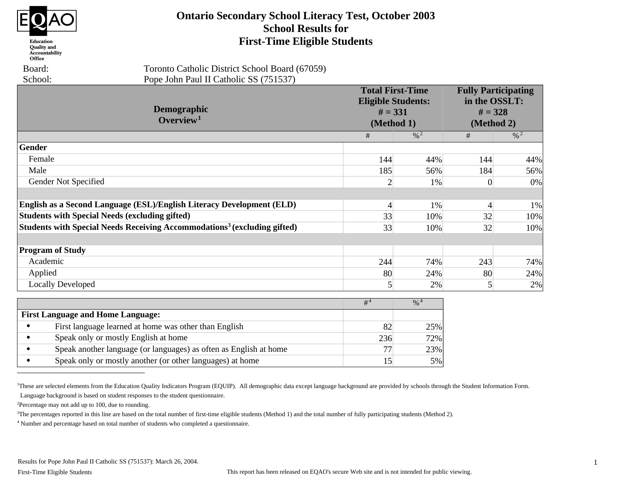

#### Education **Quality** and Accountability Office

 Board: School:  Toronto Catholic District School Board (67059) Pope John Paul II Catholic SS (751537)

| Demographic<br>Overview <sup>1</sup>                                                 |                 | <b>Total First-Time</b><br><b>Eligible Students:</b><br>$# = 331$<br>(Method 1) | <b>Fully Participating</b><br>in the OSSLT:<br>$# = 328$<br>(Method 2) |                 |
|--------------------------------------------------------------------------------------|-----------------|---------------------------------------------------------------------------------|------------------------------------------------------------------------|-----------------|
|                                                                                      | #               | $\frac{0}{6}$ 2                                                                 | #                                                                      | $\frac{0}{6}$ 2 |
| Gender                                                                               |                 |                                                                                 |                                                                        |                 |
| Female                                                                               | 144             | 44%                                                                             | 144                                                                    | 44%             |
| Male                                                                                 | 185             | 56%                                                                             | 184                                                                    | 56%             |
| Gender Not Specified                                                                 | $\overline{2}$  | 1%                                                                              | $\Omega$                                                               | 0%              |
|                                                                                      |                 |                                                                                 |                                                                        |                 |
| English as a Second Language (ESL)/English Literacy Development (ELD)                | $\overline{4}$  | 1%                                                                              | $\overline{4}$                                                         | 1%              |
| <b>Students with Special Needs (excluding gifted)</b>                                | 33              | 10%                                                                             | 32                                                                     | 10%             |
| Students with Special Needs Receiving Accommodations <sup>3</sup> (excluding gifted) | 33              | 10%                                                                             | 32                                                                     | 10%             |
|                                                                                      |                 |                                                                                 |                                                                        |                 |
| <b>Program of Study</b>                                                              |                 |                                                                                 |                                                                        |                 |
| Academic                                                                             | 244             | 74%                                                                             | 243                                                                    | 74%             |
| Applied                                                                              | 80              | 24%                                                                             | 80                                                                     | 24%             |
| <b>Locally Developed</b>                                                             | $\vert 5 \vert$ | 2%                                                                              | $\mathfrak{S}$                                                         | 2%              |
|                                                                                      | $#^4$           | $\frac{0}{6}$ <sup>4</sup>                                                      |                                                                        |                 |
| <b>First Language and Home Language:</b>                                             |                 |                                                                                 |                                                                        |                 |
| First language learned at home was other than English                                | 82              | 25%                                                                             |                                                                        |                 |
| Speak only or mostly English at home                                                 | 236             | 72%                                                                             |                                                                        |                 |
| Speak another language (or languages) as often as English at home                    | 77              | 23%                                                                             |                                                                        |                 |

**Ontario Secondary School Literacy Test, October 2003 School Results for First-Time Eligible Students**

<sup>2</sup>Percentage may not add up to 100, due to rounding.

<sup>3</sup>The percentages reported in this line are based on the total number of first-time eligible students (Method 1) and the total number of fully participating students (Method 2).

<sup>4</sup> Number and percentage based on total number of students who completed a questionnaire.

• Speak only or mostly another (or other languages) at home

15 5%

<sup>&</sup>lt;sup>1</sup>These are selected elements from the Education Quality Indicators Program (EQUIP). All demographic data except language background are provided by schools through the Student Information Form. Language background is based on student responses to the student questionnaire.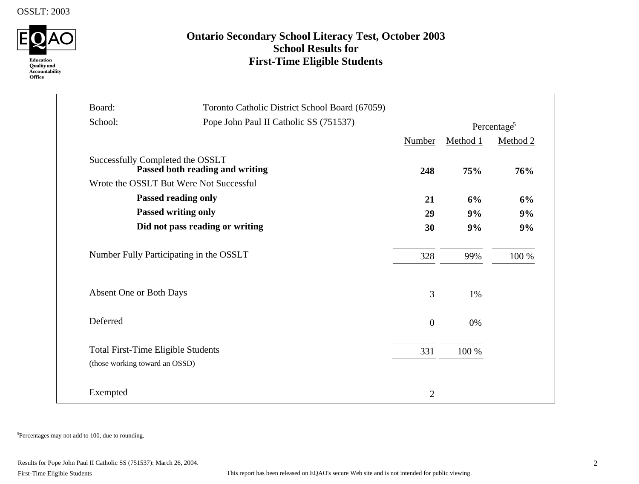

# **Ontario Secondary School Literacy Test, October 2003 School Results for First-Time Eligible Students**

| Board:<br>Toronto Catholic District School Board (67059)<br>School:<br>Pope John Paul II Catholic SS (751537) |                                 |                  |          |                         |
|---------------------------------------------------------------------------------------------------------------|---------------------------------|------------------|----------|-------------------------|
|                                                                                                               |                                 |                  |          | Percentage <sup>5</sup> |
|                                                                                                               |                                 | <b>Number</b>    | Method 1 | Method 2                |
| Successfully Completed the OSSLT                                                                              | Passed both reading and writing | 248              | 75%      | 76%                     |
| Wrote the OSSLT But Were Not Successful                                                                       |                                 |                  |          |                         |
| <b>Passed reading only</b>                                                                                    |                                 | 21               | 6%       | 6%                      |
| Passed writing only                                                                                           |                                 | 29               | 9%       | 9%                      |
|                                                                                                               | Did not pass reading or writing | 30               | 9%       | 9%                      |
| Number Fully Participating in the OSSLT                                                                       |                                 | 328              | 99%      | 100 %                   |
| Absent One or Both Days                                                                                       |                                 | 3                | 1%       |                         |
| Deferred                                                                                                      |                                 | $\boldsymbol{0}$ | 0%       |                         |
| <b>Total First-Time Eligible Students</b><br>(those working toward an OSSD)                                   |                                 | 331              | 100 %    |                         |
|                                                                                                               |                                 |                  |          |                         |
| Exempted                                                                                                      |                                 | $\overline{2}$   |          |                         |

5 Percentages may not add to 100, due to rounding.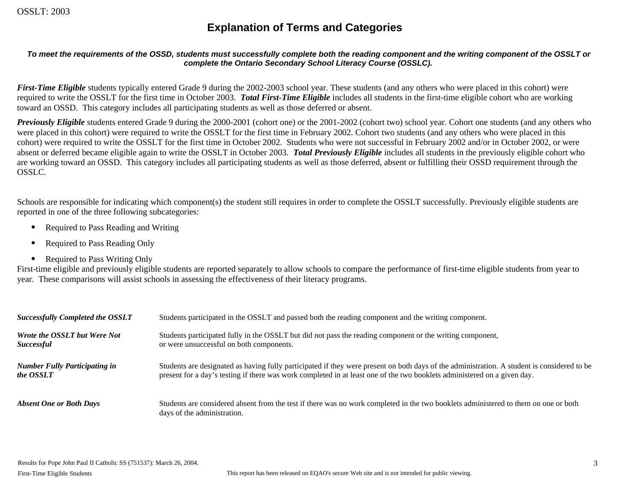# **Explanation of Terms and Categories**

#### *To meet the requirements of the OSSD, students must successfully complete both the reading component and the writing component of the OSSLT or complete the Ontario Secondary School Literacy Course (OSSLC).*

*First-Time Eligible* students typically entered Grade 9 during the 2002-2003 school year. These students (and any others who were placed in this cohort) were required to write the OSSLT for the first time in October 2003. *Total First-Time Eligible* includes all students in the first-time eligible cohort who are working toward an OSSD. This category includes all participating students as well as those deferred or absent.

*Previously Eligible* students entered Grade 9 during the 2000-2001 (cohort one) or the 2001-2002 (cohort two) school year. Cohort one students (and any others who were placed in this cohort) were required to write the OSSLT for the first time in February 2002. Cohort two students (and any others who were placed in this cohort) were required to write the OSSLT for the first time in October 2002. Students who were not successful in February 2002 and/or in October 2002, or were absent or deferred became eligible again to write the OSSLT in October 2003. *Total Previously Eligible* includes all students in the previously eligible cohort who are working toward an OSSD. This category includes all participating students as well as those deferred, absent or fulfilling their OSSD requirement through the OSSLC.

Schools are responsible for indicating which component(s) the student still requires in order to complete the OSSLT successfully. Previously eligible students are reported in one of the three following subcategories:

- Required to Pass Reading and Writing
- Required to Pass Reading Only
- Required to Pass Writing Only

First-time eligible and previously eligible students are reported separately to allow schools to compare the performance of first-time eligible students from year to year. These comparisons will assist schools in assessing the effectiveness of their literacy programs.

| <b>Successfully Completed the OSSLT</b> | Students participated in the OSSLT and passed both the reading component and the writing component.                                                                |
|-----------------------------------------|--------------------------------------------------------------------------------------------------------------------------------------------------------------------|
| <b>Wrote the OSSLT but Were Not</b>     | Students participated fully in the OSSLT but did not pass the reading component or the writing component,                                                          |
| <i>Successful</i>                       | or were unsuccessful on both components.                                                                                                                           |
| <b>Number Fully Participating in</b>    | Students are designated as having fully participated if they were present on both days of the administration. A student is considered to be                        |
| the OSSLT                               | present for a day's testing if there was work completed in at least one of the two booklets administered on a given day.                                           |
| <b>Absent One or Both Days</b>          | Students are considered absent from the test if there was no work completed in the two booklets administered to them on one or both<br>days of the administration. |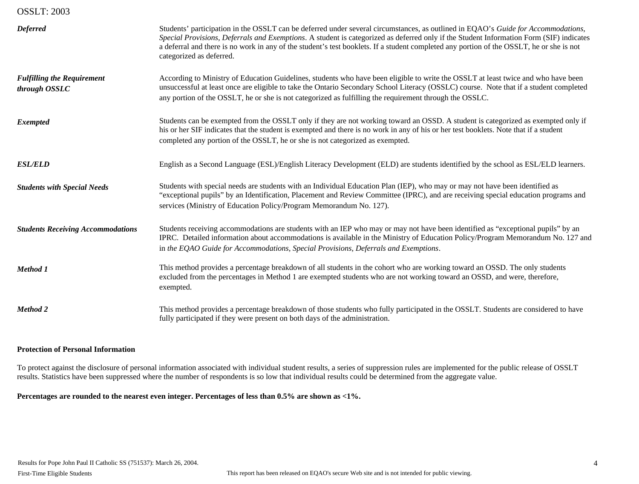| <b>Deferred</b>                                    | Students' participation in the OSSLT can be deferred under several circumstances, as outlined in EQAO's Guide for Accommodations,<br>Special Provisions, Deferrals and Exemptions. A student is categorized as deferred only if the Student Information Form (SIF) indicates<br>a deferral and there is no work in any of the student's test booklets. If a student completed any portion of the OSSLT, he or she is not<br>categorized as deferred. |
|----------------------------------------------------|------------------------------------------------------------------------------------------------------------------------------------------------------------------------------------------------------------------------------------------------------------------------------------------------------------------------------------------------------------------------------------------------------------------------------------------------------|
| <b>Fulfilling the Requirement</b><br>through OSSLC | According to Ministry of Education Guidelines, students who have been eligible to write the OSSLT at least twice and who have been<br>unsuccessful at least once are eligible to take the Ontario Secondary School Literacy (OSSLC) course. Note that if a student completed<br>any portion of the OSSLT, he or she is not categorized as fulfilling the requirement through the OSSLC.                                                              |
| <b>Exempted</b>                                    | Students can be exempted from the OSSLT only if they are not working toward an OSSD. A student is categorized as exempted only if<br>his or her SIF indicates that the student is exempted and there is no work in any of his or her test booklets. Note that if a student<br>completed any portion of the OSSLT, he or she is not categorized as exempted.                                                                                          |
| <b>ESL/ELD</b>                                     | English as a Second Language (ESL)/English Literacy Development (ELD) are students identified by the school as ESL/ELD learners.                                                                                                                                                                                                                                                                                                                     |
| <b>Students with Special Needs</b>                 | Students with special needs are students with an Individual Education Plan (IEP), who may or may not have been identified as<br>"exceptional pupils" by an Identification, Placement and Review Committee (IPRC), and are receiving special education programs and<br>services (Ministry of Education Policy/Program Memorandum No. 127).                                                                                                            |
| <b>Students Receiving Accommodations</b>           | Students receiving accommodations are students with an IEP who may or may not have been identified as "exceptional pupils" by an<br>IPRC. Detailed information about accommodations is available in the Ministry of Education Policy/Program Memorandum No. 127 and<br>in the EQAO Guide for Accommodations, Special Provisions, Deferrals and Exemptions.                                                                                           |
| Method 1                                           | This method provides a percentage breakdown of all students in the cohort who are working toward an OSSD. The only students<br>excluded from the percentages in Method 1 are exempted students who are not working toward an OSSD, and were, therefore,<br>exempted.                                                                                                                                                                                 |
| <b>Method 2</b>                                    | This method provides a percentage breakdown of those students who fully participated in the OSSLT. Students are considered to have<br>fully participated if they were present on both days of the administration.                                                                                                                                                                                                                                    |

#### **Protection of Personal Information**

To protect against the disclosure of personal information associated with individual student results, a series of suppression rules are implemented for the public release of OSSLT results. Statistics have been suppressed where the number of respondents is so low that individual results could be determined from the aggregate value.

**Percentages are rounded to the nearest even integer. Percentages of less than 0.5% are shown as <1%.**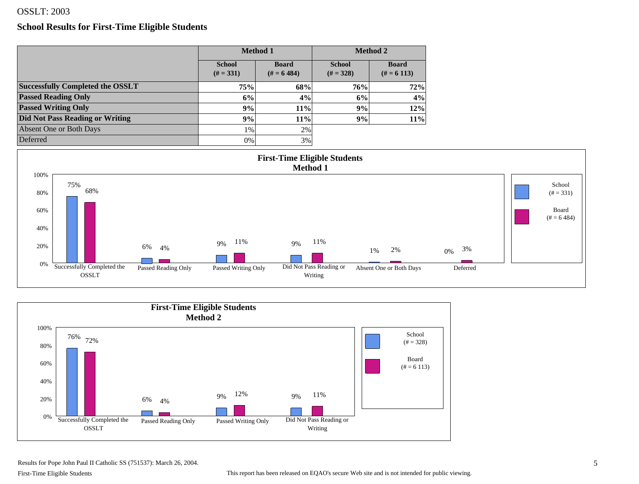#### **School Results for First-Time Eligible Students**

|                                         |                              | <b>Method 1</b>            |                              | <b>Method 2</b>            |
|-----------------------------------------|------------------------------|----------------------------|------------------------------|----------------------------|
|                                         | <b>School</b><br>$(H = 331)$ | <b>Board</b><br>$# = 6484$ | <b>School</b><br>$(# = 328)$ | <b>Board</b><br>$# = 6113$ |
| <b>Successfully Completed the OSSLT</b> | 75%                          | 68%                        | 76%                          | 72%                        |
| <b>Passed Reading Only</b>              | 6%                           | 4%                         | 6%                           | 4%                         |
| <b>Passed Writing Only</b>              | 9%                           | 11%                        | 9%                           | 12%                        |
| <b>Did Not Pass Reading or Writing</b>  | 9%                           | 11%                        | 9%                           | 11%                        |
| Absent One or Both Days                 | $1\%$                        | 2%                         |                              |                            |
| Deferred                                | 0%                           | 3%                         |                              |                            |





Results for Pope John Paul II Catholic SS (751537): March 26, 2004.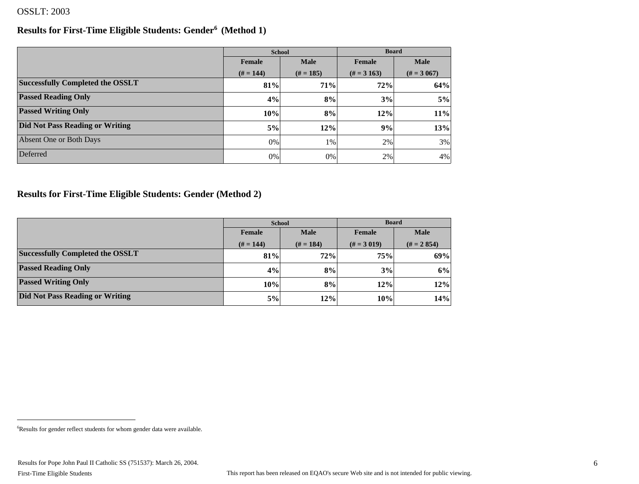#### **Results for First-Time Eligible Students: Gender6 (Method 1)**

|                                         | <b>School</b>         |             | <b>Board</b>    |               |
|-----------------------------------------|-----------------------|-------------|-----------------|---------------|
|                                         | <b>Male</b><br>Female |             | Female          | <b>Male</b>   |
|                                         | $(H = 144)$           | $(# = 185)$ | $(\# = 3\,163)$ | $(\# = 3067)$ |
| <b>Successfully Completed the OSSLT</b> | 81%                   | 71%         | 72%             | 64%           |
| <b>Passed Reading Only</b>              | 4%                    | 8%          | 3%              | 5%            |
| <b>Passed Writing Only</b>              | 10%                   | 8%          | 12%             | 11%           |
| <b>Did Not Pass Reading or Writing</b>  | 5%                    | 12%         | 9%              | 13%           |
| Absent One or Both Days                 | 0%                    | 1%          | 2%              | 3%            |
| Deferred                                | 0%                    | 0%          | 2%              | 4%            |

## **Results for First-Time Eligible Students: Gender (Method 2)**

|                                         | <b>School</b>         |           | <b>Board</b>  |               |  |
|-----------------------------------------|-----------------------|-----------|---------------|---------------|--|
|                                         | <b>Male</b><br>Female |           | Female        | <b>Male</b>   |  |
|                                         | $(H = 144)$           | $# = 184$ | $(\# = 3019)$ | $(H = 2 854)$ |  |
| <b>Successfully Completed the OSSLT</b> | 81%                   | 72%       | 75%           | 69%           |  |
| <b>Passed Reading Only</b>              | 4%                    | 8%        | 3%            | 6%            |  |
| <b>Passed Writing Only</b>              | $10\%$                | 8%        | 12%           | 12%           |  |
| <b>Did Not Pass Reading or Writing</b>  | 5%                    | 12%       | 10%           | 14%           |  |

<sup>6</sup> Results for gender reflect students for whom gender data were available.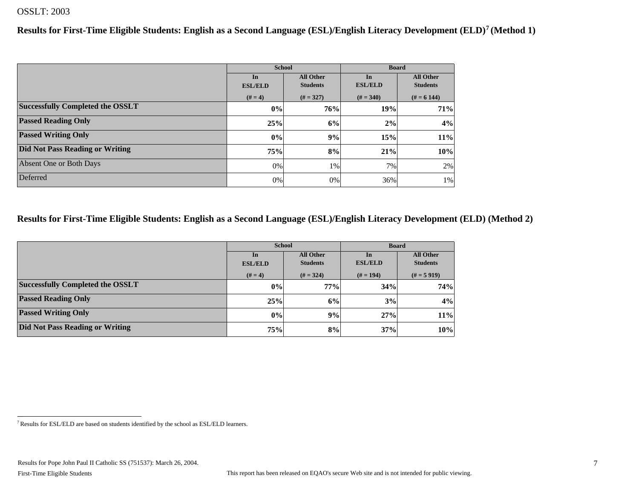**Results for First-Time Eligible Students: English as a Second Language (ESL)/English Literacy Development (ELD)7 (Method 1)**

|                                         |                        | <b>School</b>   | <b>Board</b>   |                  |  |
|-----------------------------------------|------------------------|-----------------|----------------|------------------|--|
|                                         | <b>All Other</b><br>In |                 | In             | <b>All Other</b> |  |
|                                         | <b>ESL/ELD</b>         | <b>Students</b> | <b>ESL/ELD</b> | <b>Students</b>  |  |
|                                         | $(# = 4)$              | $(H = 327)$     | $(# = 340)$    | $# = 6144$       |  |
| <b>Successfully Completed the OSSLT</b> | $ 0\% $                | 76%             | 19%            | 71%              |  |
| <b>Passed Reading Only</b>              | 25%                    | 6%              | 2%             | 4%               |  |
| <b>Passed Writing Only</b>              | 0%                     | 9%              | 15%            | 11%              |  |
| <b>Did Not Pass Reading or Writing</b>  | 75%                    | 8%              | 21%            | 10%              |  |
| Absent One or Both Days                 | $0\%$                  | 1%              | 7%             | 2%               |  |
| Deferred                                | $0\%$                  | 0%              | 36%            | $1\%$            |  |

#### **Results for First-Time Eligible Students: English as a Second Language (ESL)/English Literacy Development (ELD) (Method 2)**

|                                         |                        | <b>School</b>   | <b>Board</b>   |                  |  |
|-----------------------------------------|------------------------|-----------------|----------------|------------------|--|
|                                         | <b>All Other</b><br>In |                 | In             | <b>All Other</b> |  |
|                                         | <b>ESL/ELD</b>         | <b>Students</b> | <b>ESL/ELD</b> | <b>Students</b>  |  |
|                                         | $(# = 4)$              | $(H = 324)$     | $# = 194$      | $(H = 5919)$     |  |
| <b>Successfully Completed the OSSLT</b> | 0%                     | 77%             | 34%            | 74%              |  |
| <b>Passed Reading Only</b>              | 25%                    | 6%              | 3%             | 4%               |  |
| <b>Passed Writing Only</b>              | 0%                     | 9%              | 27%            | 11%              |  |
| Did Not Pass Reading or Writing         | 75%                    | 8%              | 37%            | 10%              |  |

<sup>7</sup> Results for ESL/ELD are based on students identified by the school as ESL/ELD learners.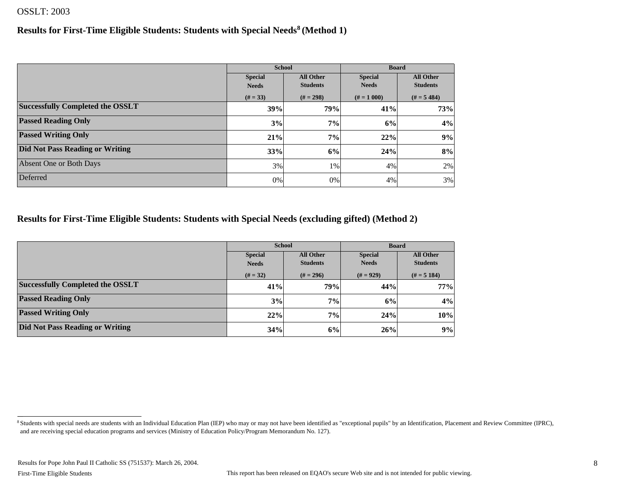#### **Results for First-Time Eligible Students: Students with Special Needs8 (Method 1)**

|                                         |                | <b>School</b>    | <b>Board</b>   |                  |  |
|-----------------------------------------|----------------|------------------|----------------|------------------|--|
|                                         | <b>Special</b> | <b>All Other</b> | <b>Special</b> | <b>All Other</b> |  |
|                                         | <b>Needs</b>   | <b>Students</b>  | <b>Needs</b>   | <b>Students</b>  |  |
|                                         | $(# = 33)$     | $(# = 298)$      | $# = 1000$     | $(H = 5, 484)$   |  |
| <b>Successfully Completed the OSSLT</b> | 39%            | <b>79%</b>       | 41%            | 73%              |  |
| <b>Passed Reading Only</b>              | 3%             | 7%               | 6%             | 4%               |  |
| <b>Passed Writing Only</b>              | 21%            | 7%               | 22%            | 9%               |  |
| Did Not Pass Reading or Writing         | 33%            | 6%               | 24%            | 8%               |  |
| Absent One or Both Days                 | 3%             | 1%               | 4%             | 2%               |  |
| Deferred                                | 0%             | 0%               | 4%             | 3%               |  |

#### **Results for First-Time Eligible Students: Students with Special Needs (excluding gifted) (Method 2)**

|                                         |                                    | <b>School</b>   | <b>Board</b>   |                  |  |
|-----------------------------------------|------------------------------------|-----------------|----------------|------------------|--|
|                                         | <b>All Other</b><br><b>Special</b> |                 | <b>Special</b> | <b>All Other</b> |  |
|                                         | <b>Needs</b>                       | <b>Students</b> | <b>Needs</b>   | <b>Students</b>  |  |
|                                         | $(# = 32)$                         | $(\# = 296)$    | $(# = 929)$    | $(H = 5 184)$    |  |
| <b>Successfully Completed the OSSLT</b> | 41%                                | 79%             | 44%            | 77%              |  |
| <b>Passed Reading Only</b>              | 3%                                 | 7%              | 6%             | 4%               |  |
| <b>Passed Writing Only</b>              | 22%                                | 7%              | 24%            | 10%              |  |
| Did Not Pass Reading or Writing         | 34%                                | 6%              | 26%            | 9%               |  |

<sup>8</sup> Students with special needs are students with an Individual Education Plan (IEP) who may or may not have been identified as "exceptional pupils" by an Identification, Placement and Review Committee (IPRC), and are receiving special education programs and services (Ministry of Education Policy/Program Memorandum No. 127).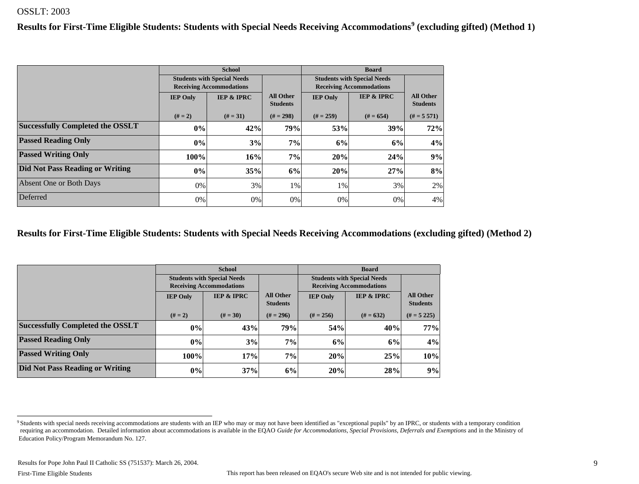**Results for First-Time Eligible Students: Students with Special Needs Receiving Accommodations<sup>9</sup> (excluding gifted) (Method 1)**

|                                         | <b>School</b>                                                         |                       |                  |                 | <b>Board</b>                       |                                     |
|-----------------------------------------|-----------------------------------------------------------------------|-----------------------|------------------|-----------------|------------------------------------|-------------------------------------|
|                                         | <b>Students with Special Needs</b><br><b>Receiving Accommodations</b> |                       |                  |                 | <b>Students with Special Needs</b> |                                     |
|                                         |                                                                       |                       | <b>All Other</b> |                 | <b>Receiving Accommodations</b>    |                                     |
|                                         | <b>IEP Only</b>                                                       | <b>IEP &amp; IPRC</b> | <b>Students</b>  | <b>IEP Only</b> | <b>IEP &amp; IPRC</b>              | <b>All Other</b><br><b>Students</b> |
|                                         | $(# = 2)$                                                             | $(# = 31)$            | $(H = 298)$      | $(H = 259)$     | $# = 654$                          | $(H = 5 571)$                       |
| <b>Successfully Completed the OSSLT</b> | $0\%$                                                                 | 42%                   | 79%              | 53%             | 39%                                | 72%                                 |
| <b>Passed Reading Only</b>              | 0%                                                                    | 3%                    | 7%               | 6%              | 6%                                 | 4%                                  |
| <b>Passed Writing Only</b>              | 100%                                                                  | 16%                   | 7%               | 20%             | 24%                                | 9%                                  |
| <b>Did Not Pass Reading or Writing</b>  | $0\%$                                                                 | 35%                   | 6%               | 20%             | 27%                                | 8%                                  |
| Absent One or Both Days                 | 0%                                                                    | 3%                    | $1\%$            | 1%              | 3%                                 | 2%                                  |
| Deferred                                | 0%                                                                    | 0%                    | 0%               | 0%              | 0%                                 | 4%                                  |

#### **Results for First-Time Eligible Students: Students with Special Needs Receiving Accommodations (excluding gifted) (Method 2)**

|                                         |                                                                     | <b>School</b>                                                         |                                     | <b>Board</b>    |                                                                       |                                     |  |
|-----------------------------------------|---------------------------------------------------------------------|-----------------------------------------------------------------------|-------------------------------------|-----------------|-----------------------------------------------------------------------|-------------------------------------|--|
|                                         |                                                                     | <b>Students with Special Needs</b><br><b>Receiving Accommodations</b> |                                     |                 | <b>Students with Special Needs</b><br><b>Receiving Accommodations</b> |                                     |  |
|                                         | <b>IEP &amp; IPRC</b><br><b>IEP Only</b><br>$(# = 2)$<br>$(# = 30)$ |                                                                       | <b>All Other</b><br><b>Students</b> | <b>IEP Only</b> | <b>IEP &amp; IPRC</b>                                                 | <b>All Other</b><br><b>Students</b> |  |
|                                         |                                                                     |                                                                       | $(\# = 296)$                        | $(# = 256)$     | $(# = 632)$                                                           | $(H = 5, 225)$                      |  |
| <b>Successfully Completed the OSSLT</b> | $ 0\% $                                                             | 43%                                                                   | 79%                                 | 54%             | 40%                                                                   | 77%                                 |  |
| <b>Passed Reading Only</b>              | $ 0\% $                                                             | 3%                                                                    | 7%                                  | 6%              | 6%                                                                    | 4%                                  |  |
| <b>Passed Writing Only</b>              | 100%                                                                | 17%                                                                   | 7%                                  | 20%             | 25%                                                                   | 10%                                 |  |
| Did Not Pass Reading or Writing         | $ 0\% $                                                             | 37%                                                                   | 6%                                  | 20%             | 28%                                                                   | 9%                                  |  |

<sup>&</sup>lt;sup>9</sup> Students with special needs receiving accommodations are students with an IEP who may or may not have been identified as "exceptional pupils" by an IPRC, or students with a temporary condition requiring an accommodation. Detailed information about accommodations is available in the EQAO *Guide for Accommodations, Special Provisions, Deferrals and Exemptions* and in the Ministry of Education Policy/Program Memorandum No. 127.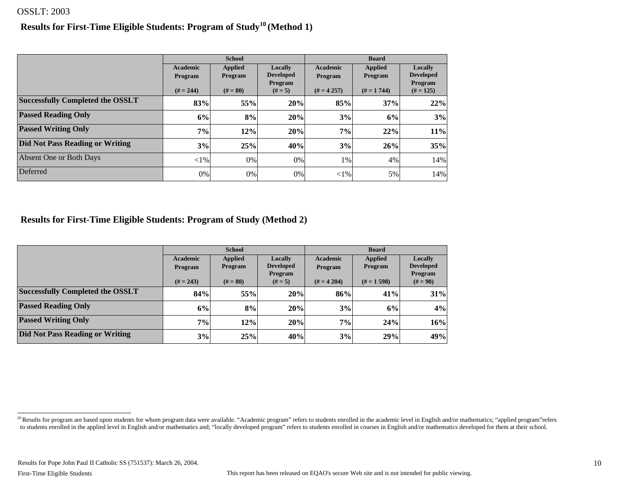#### **Results for First-Time Eligible Students: Program of Study10 (Method 1)**

|                                         |                            | <b>School</b>             |                                        | <b>Board</b>        |                           |                                        |  |
|-----------------------------------------|----------------------------|---------------------------|----------------------------------------|---------------------|---------------------------|----------------------------------------|--|
|                                         | <b>Academic</b><br>Program | <b>Applied</b><br>Program | Locally<br><b>Developed</b><br>Program | Academic<br>Program | <b>Applied</b><br>Program | Locally<br><b>Developed</b><br>Program |  |
|                                         | $(H = 244)$                | $(# = 80)$                | $(# = 5)$                              | $(H = 4257)$        | $# = 1744$                | $(# = 125)$                            |  |
| <b>Successfully Completed the OSSLT</b> | 83%                        | 55%                       | 20%                                    | 85%                 | 37%                       | 22%                                    |  |
| <b>Passed Reading Only</b>              | 6%                         | 8%                        | 20%                                    | 3%                  | 6%                        | 3%                                     |  |
| <b>Passed Writing Only</b>              | 7%                         | 12%                       | 20%                                    | 7%                  | 22%                       | 11%                                    |  |
| <b>Did Not Pass Reading or Writing</b>  | 3%                         | 25%                       | 40%                                    | 3%                  | 26%                       | 35%                                    |  |
| Absent One or Both Days                 | ${<}1\%$                   | $0\%$                     | $0\%$                                  | 1%                  | 4%                        | 14%                                    |  |
| Deferred                                | 0%                         | 0%                        | 0%                                     | ${<}1\%$            | 5%                        | 14%                                    |  |

**Results for First-Time Eligible Students: Program of Study (Method 2)**

|                                         |                 | <b>School</b>  |                             | <b>Board</b>    |                |                       |  |
|-----------------------------------------|-----------------|----------------|-----------------------------|-----------------|----------------|-----------------------|--|
|                                         | <b>Academic</b> | <b>Applied</b> | Locally                     | <b>Academic</b> | <b>Applied</b> | Locally               |  |
|                                         | <b>Program</b>  | <b>Program</b> | <b>Developed</b>            | <b>Program</b>  | <b>Program</b> | <b>Developed</b>      |  |
|                                         | $(H = 243)$     | $(# = 80)$     | <b>Program</b><br>$(# = 5)$ | $(H = 4204)$    | $(H = 1598)$   | Program<br>$(# = 90)$ |  |
| <b>Successfully Completed the OSSLT</b> | 84%             | 55%            | 20%                         | 86%             | 41%            | 31%                   |  |
| <b>Passed Reading Only</b>              | 6%              | 8%             | 20%                         | 3%              | 6%             | 4%                    |  |
| <b>Passed Writing Only</b>              | 7%              | 12%            | 20%                         | 7%              | 24%            | 16%                   |  |
| Did Not Pass Reading or Writing         | 3%              | 25%            | 40%                         | 3%              | 29%            | 49%                   |  |

<sup>&</sup>lt;sup>10</sup> Results for program are based upon students for whom program data were available. "Academic program" refers to students enrolled in the academic level in English and/or mathematics; "applied program" refers to students enrolled in the applied level in English and/or mathematics and; "locally developed program" refers to students enrolled in courses in English and/or mathematics developed for them at their school.